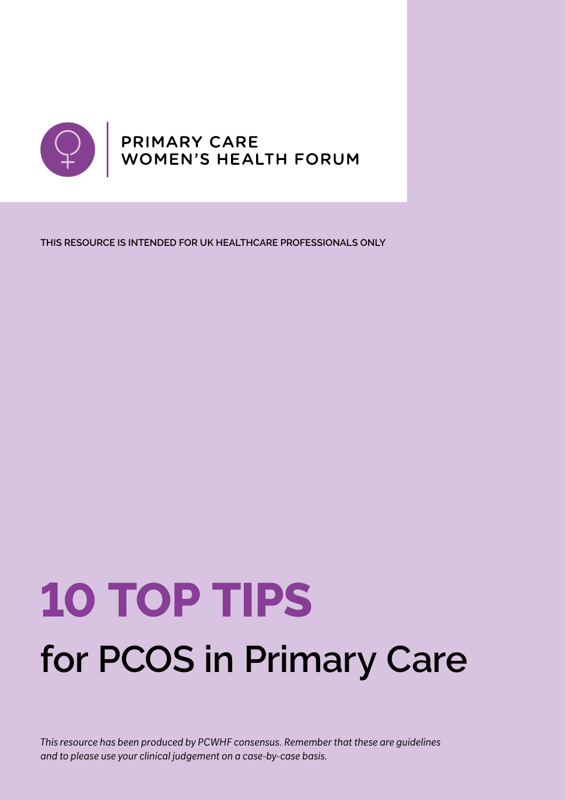

**THIS RESOURCE IS INTENDED FOR UK HEALTHCARE PROFESSIONALS ONLY**

# **10 TOP TIPS for PCOS in Primary Care**

*This resource has been produced by PCWHF consensus. Remember that these are guidelines and to please use your clinical judgement on a case-by-case basis.*